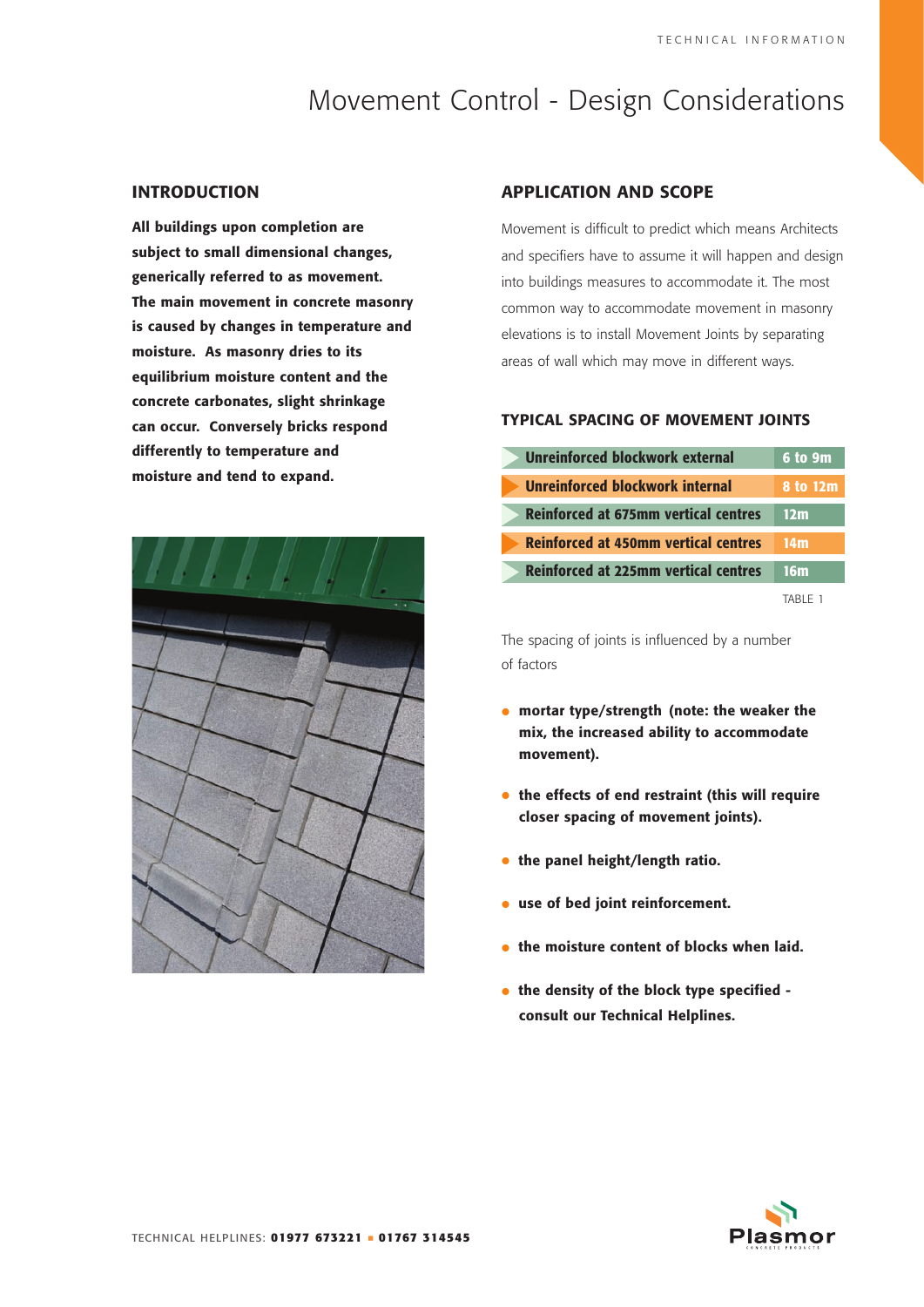# Movement Control - Design Considerations

### **INTRODUCTION**

**All buildings upon completion are subject to small dimensional changes, generically referred to as movement. The main movement in concrete masonry is caused by changes in temperature and moisture. As masonry dries to its equilibrium moisture content and the concrete carbonates, slight shrinkage can occur. Conversely bricks respond differently to temperature and moisture and tend to expand.**



## **APPLICATION AND SCOPE**

Movement is difficult to predict which means Architects and specifiers have to assume it will happen and design into buildings measures to accommodate it. The most common way to accommodate movement in masonry elevations is to install Movement Joints by separating areas of wall which may move in different ways.

## **TYPICAL SPACING OF MOVEMENT JOINTS**

| <b>Unreinforced blockwork external</b>      | 6 to 9m  |
|---------------------------------------------|----------|
| Unreinforced blockwork internal             | 8 to 12m |
| <b>Reinforced at 675mm vertical centres</b> | 12m      |
| <b>Reinforced at 450mm vertical centres</b> | 14m      |
| <b>Reinforced at 225mm vertical centres</b> | 16m      |
|                                             | TARIF 1  |

The spacing of joints is influenced by a number of factors

- **• mortar type/strength (note: the weaker the mix, the increased ability to accommodate movement).**
- **• the effects of end restraint (this will require closer spacing of movement joints).**
- **• the panel height/length ratio.**
- **• use of bed joint reinforcement.**
- **• the moisture content of blocks when laid.**
- **• the density of the block type specified consult our Technical Helplines.**

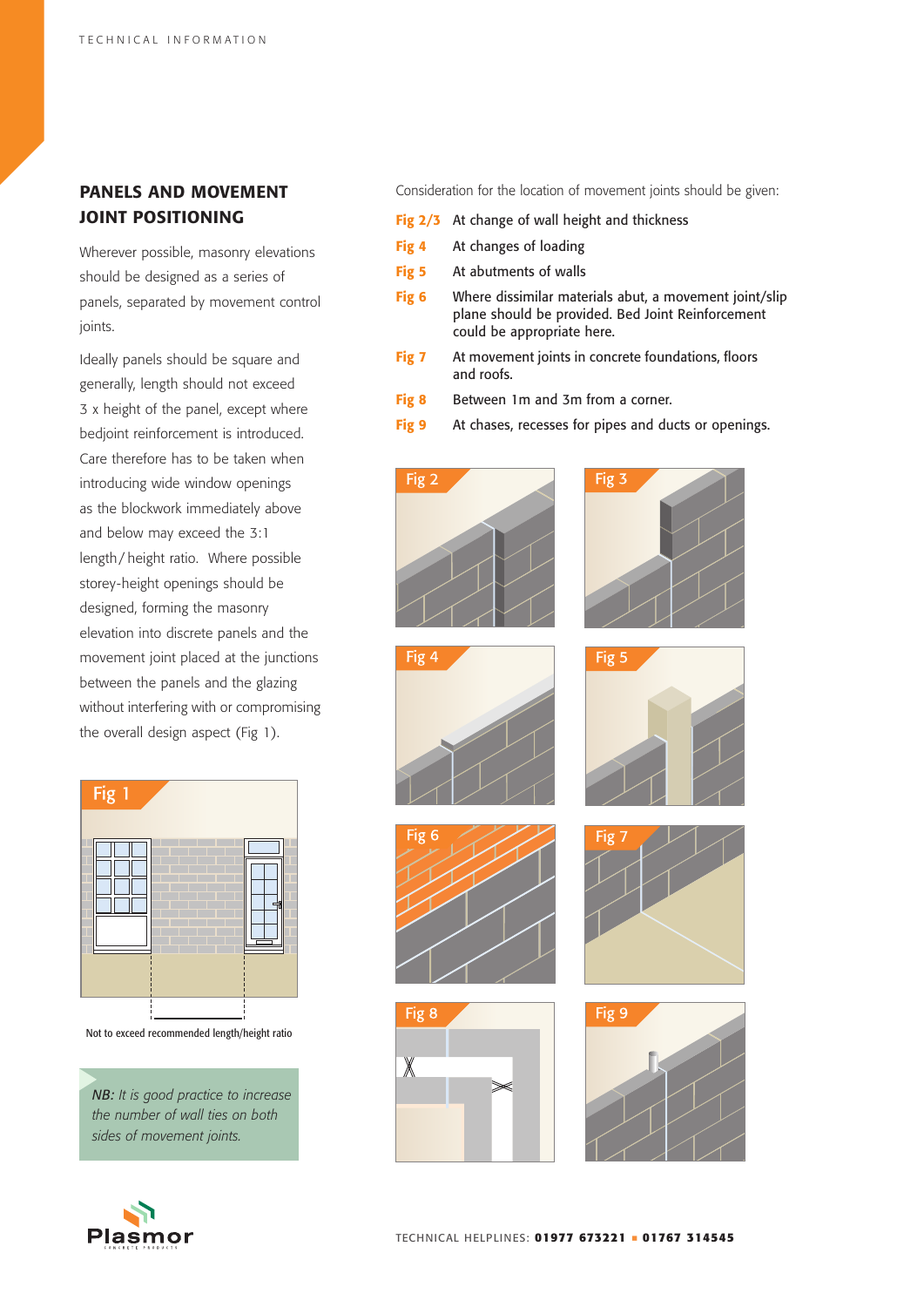# **PANELS AND MOVEMENT JOINT POSITIONING**

Wherever possible, masonry elevations should be designed as a series of panels, separated by movement control joints.

Ideally panels should be square and generally, length should not exceed 3 x height of the panel, except where bedjoint reinforcement is introduced. Care therefore has to be taken when introducing wide window openings as the blockwork immediately above and below may exceed the 3:1 length/ height ratio. Where possible storey-height openings should be designed, forming the masonry elevation into discrete panels and the movement joint placed at the junctions between the panels and the glazing without interfering with or compromising the overall design aspect (Fig 1).



Not to exceed recommended length/height ratio

*NB: It is good practice to increase the number of wall ties on both sides of movement joints.*



Consideration for the location of movement joints should be given:

- **Fig 2/3** At change of wall height and thickness
- **Fig 4** At changes of loading
- **Fig 5** At abutments of walls
- **Fig 6** Where dissimilar materials abut, a movement joint/slip plane should be provided. Bed Joint Reinforcement could be appropriate here.
- **Fig 7** At movement joints in concrete foundations, floors and roofs.
- **Fig 8** Between 1m and 3m from a corner.
- **Fig 9** At chases, recesses for pipes and ducts or openings.

















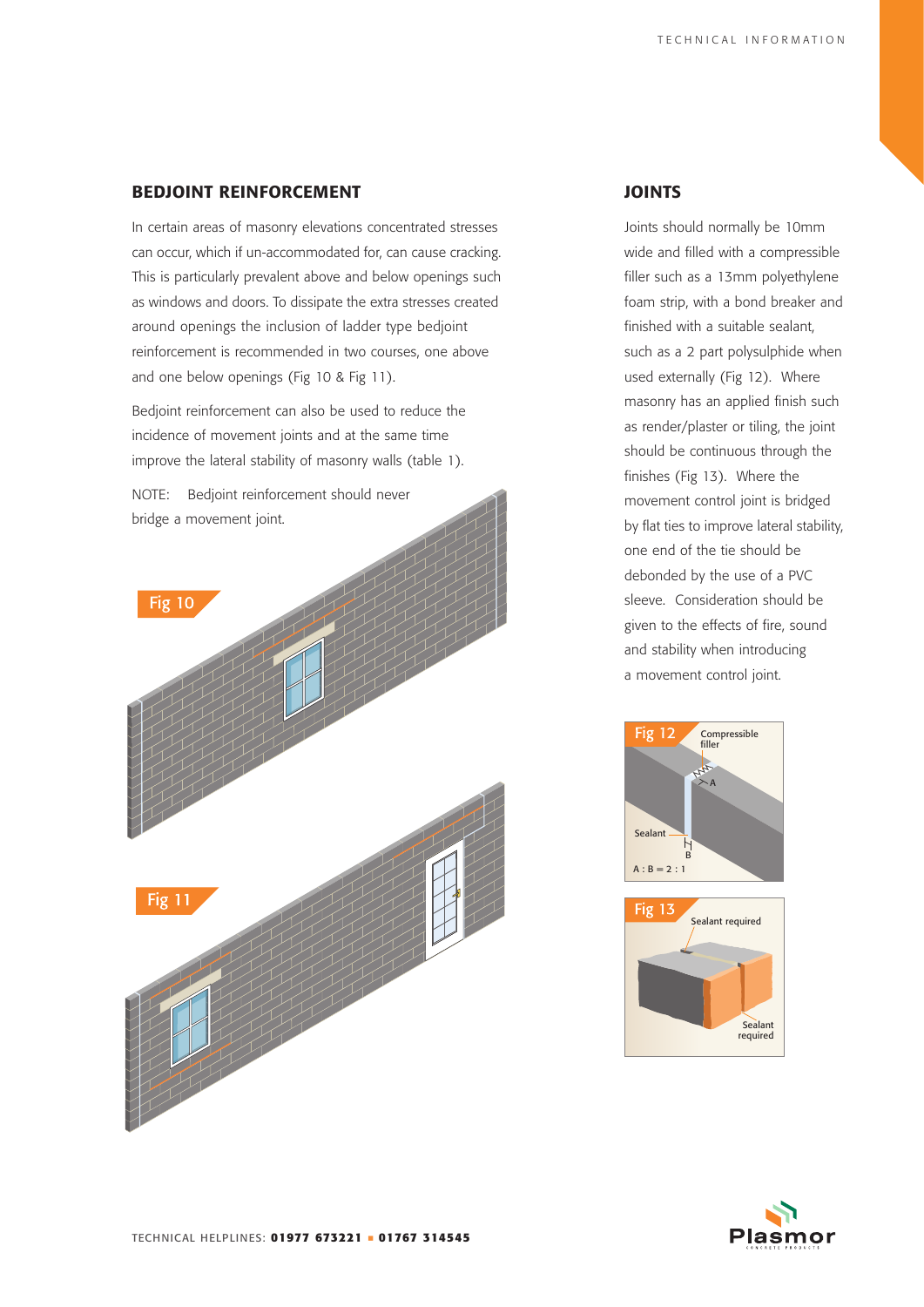## **BEDJOINT REINFORCEMENT**

In certain areas of masonry elevations concentrated stresses can occur, which if un-accommodated for, can cause cracking. This is particularly prevalent above and below openings such as windows and doors. To dissipate the extra stresses created around openings the inclusion of ladder type bedjoint reinforcement is recommended in two courses, one above and one below openings (Fig 10 & Fig 11).

Bedjoint reinforcement can also be used to reduce the incidence of movement joints and at the same time improve the lateral stability of masonry walls (table 1).

NOTE: Bedjoint reinforcement should never bridge a movement joint.



## **JOINTS**

Joints should normally be 10mm wide and filled with a compressible filler such as a 13mm polyethylene foam strip, with a bond breaker and finished with a suitable sealant, such as a 2 part polysulphide when used externally (Fig 12). Where masonry has an applied finish such as render/plaster or tiling, the joint should be continuous through the finishes (Fig 13). Where the movement control joint is bridged by flat ties to improve lateral stability, one end of the tie should be debonded by the use of a PVC sleeve. Consideration should be given to the effects of fire, sound and stability when introducing a movement control joint.